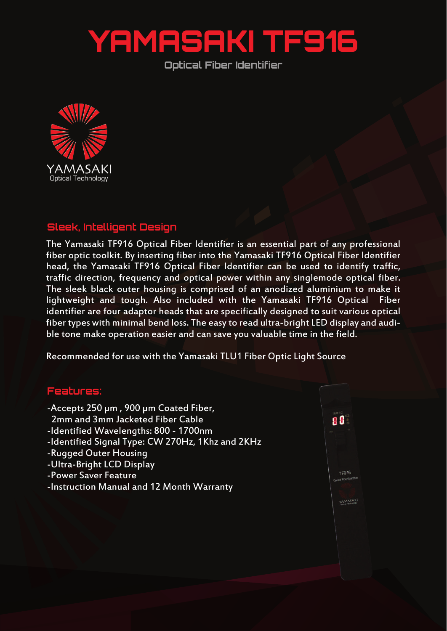## YAMASAKI TF916

**Optical Fiber Identifier**



## **Sleek, Intelligent Design**

The Yamasaki TF916 Optical Fiber Identifier is an essential part of any professional fiber optic toolkit. By inserting fiber into the Yamasaki TF916 Optical Fiber Identifier head, the Yamasaki TF916 Optical Fiber Identifier can be used to identify traffic, traffic direction, frequency and optical power within any singlemode optical fiber. The sleek black outer housing is comprised of an anodized aluminium to make it lightweight and tough. Also included with the Yamasaki TF916 Optical Fiber identifier are four adaptor heads that are specifically designed to suit various optical fiber types with minimal bend loss. The easy to read ultra-bright LED display and audible tone make operation easier and can save you valuable time in the field.

Recommended for use with the Yamasaki TLU1 Fiber Optic Light Source

## **Features:**

- -Accepts 250 µm , 900 µm Coated Fiber,
- 2mm and 3mm Jacketed Fiber Cable
- -Identified Wavelengths: 800 1700nm
- -Identified Signal Type: CW 270Hz, 1Khz and 2KHz
- -Rugged Outer Housing
- -Ultra-Bright LCD Display
- -Power Saver Feature
- -Instruction Manual and 12 Month Warranty